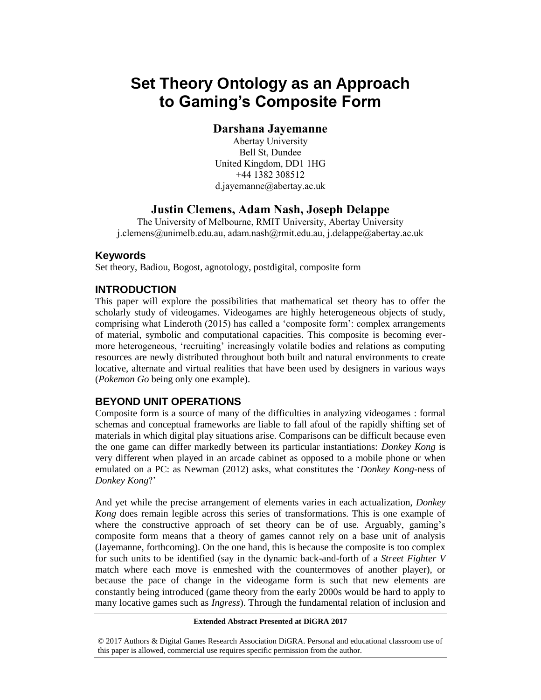# **Set Theory Ontology as an Approach to Gaming's Composite Form**

## **Darshana Jayemanne**

Abertay University Bell St, Dundee United Kingdom, DD1 1HG +44 1382 308512 d.jayemanne@abertay.ac.uk

# **Justin Clemens, Adam Nash, Joseph Delappe**

The University of Melbourne, RMIT University, Abertay University j.clemens@unimelb.edu.au, adam.nash@rmit.edu.au, j.delappe@abertay.ac.uk

#### **Keywords**

Set theory, Badiou, Bogost, agnotology, postdigital, composite form

#### **INTRODUCTION**

This paper will explore the possibilities that mathematical set theory has to offer the scholarly study of videogames. Videogames are highly heterogeneous objects of study, comprising what Linderoth (2015) has called a 'composite form': complex arrangements of material, symbolic and computational capacities. This composite is becoming evermore heterogeneous, 'recruiting' increasingly volatile bodies and relations as computing resources are newly distributed throughout both built and natural environments to create locative, alternate and virtual realities that have been used by designers in various ways (*Pokemon Go* being only one example).

#### **BEYOND UNIT OPERATIONS**

Composite form is a source of many of the difficulties in analyzing videogames : formal schemas and conceptual frameworks are liable to fall afoul of the rapidly shifting set of materials in which digital play situations arise. Comparisons can be difficult because even the one game can differ markedly between its particular instantiations: *Donkey Kong* is very different when played in an arcade cabinet as opposed to a mobile phone or when emulated on a PC: as Newman (2012) asks, what constitutes the '*Donkey Kong*-ness of *Donkey Kong*?'

And yet while the precise arrangement of elements varies in each actualization, *Donkey Kong* does remain legible across this series of transformations. This is one example of where the constructive approach of set theory can be of use. Arguably, gaming's composite form means that a theory of games cannot rely on a base unit of analysis (Jayemanne, forthcoming). On the one hand, this is because the composite is too complex for such units to be identified (say in the dynamic back-and-forth of a *Street Fighter V* match where each move is enmeshed with the countermoves of another player), or because the pace of change in the videogame form is such that new elements are constantly being introduced (game theory from the early 2000s would be hard to apply to many locative games such as *Ingress*). Through the fundamental relation of inclusion and

#### **Extended Abstract Presented at DiGRA 2017**

© 2017 Authors & Digital Games Research Association DiGRA. Personal and educational classroom use of this paper is allowed, commercial use requires specific permission from the author.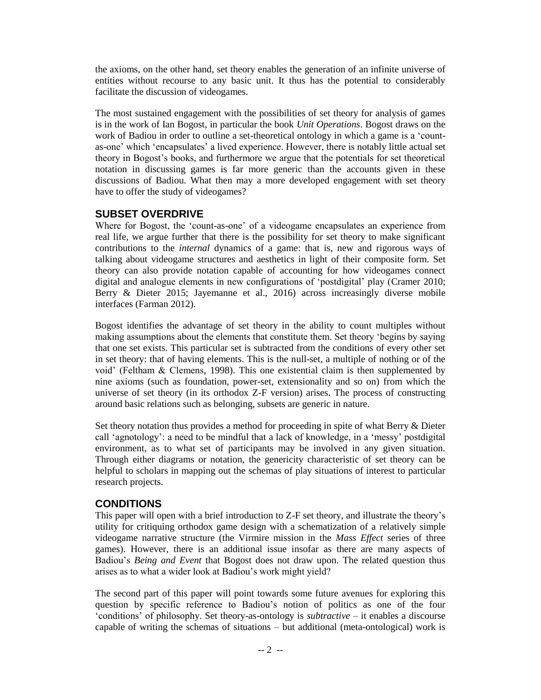the axioms, on the other hand, set theory enables the generation of an infinite universe of entities without recourse to any basic unit. It thus has the potential to considerably facilitate the discussion of videogames.

The most sustained engagement with the possibilities of set theory for analysis of games is in the work of Ian Bogost, in particular the book *Unit Operations*. Bogost draws on the work of Badiou in order to outline a set-theoretical ontology in which a game is a 'countas-one' which 'encapsulates' a lived experience. However, there is notably little actual set theory in Bogost's books, and furthermore we argue that the potentials for set theoretical notation in discussing games is far more generic than the accounts given in these discussions of Badiou. What then may a more developed engagement with set theory have to offer the study of videogames?

### **SUBSET OVERDRIVE**

Where for Bogost, the 'count-as-one' of a videogame encapsulates an experience from real life, we argue further that there is the possibility for set theory to make significant contributions to the *internal* dynamics of a game: that is, new and rigorous ways of talking about videogame structures and aesthetics in light of their composite form. Set theory can also provide notation capable of accounting for how videogames connect digital and analogue elements in new configurations of 'postdigital' play (Cramer 2010; Berry & Dieter 2015; Jayemanne et al., 2016) across increasingly diverse mobile interfaces (Farman 2012).

Bogost identifies the advantage of set theory in the ability to count multiples without making assumptions about the elements that constitute them. Set theory 'begins by saying that one set exists. This particular set is subtracted from the conditions of every other set in set theory: that of having elements. This is the null-set, a multiple of nothing or of the void' (Feltham & Clemens, 1998). This one existential claim is then supplemented by nine axioms (such as foundation, power-set, extensionality and so on) from which the universe of set theory (in its orthodox Z-F version) arises. The process of constructing around basic relations such as belonging, subsets are generic in nature.

Set theory notation thus provides a method for proceeding in spite of what Berry & Dieter call 'agnotology': a need to be mindful that a lack of knowledge, in a 'messy' postdigital environment, as to what set of participants may be involved in any given situation. Through either diagrams or notation, the genericity characteristic of set theory can be helpful to scholars in mapping out the schemas of play situations of interest to particular research projects.

#### **CONDITIONS**

This paper will open with a brief introduction to Z-F set theory, and illustrate the theory's utility for critiquing orthodox game design with a schematization of a relatively simple videogame narrative structure (the Virmire mission in the *Mass Effect* series of three games). However, there is an additional issue insofar as there are many aspects of Badiou's *Being and Event* that Bogost does not draw upon. The related question thus arises as to what a wider look at Badiou's work might yield?

The second part of this paper will point towards some future avenues for exploring this question by specific reference to Badiou's notion of politics as one of the four 'conditions' of philosophy. Set theory-as-ontology is *subtractive* – it enables a discourse capable of writing the schemas of situations – but additional (meta-ontological) work is